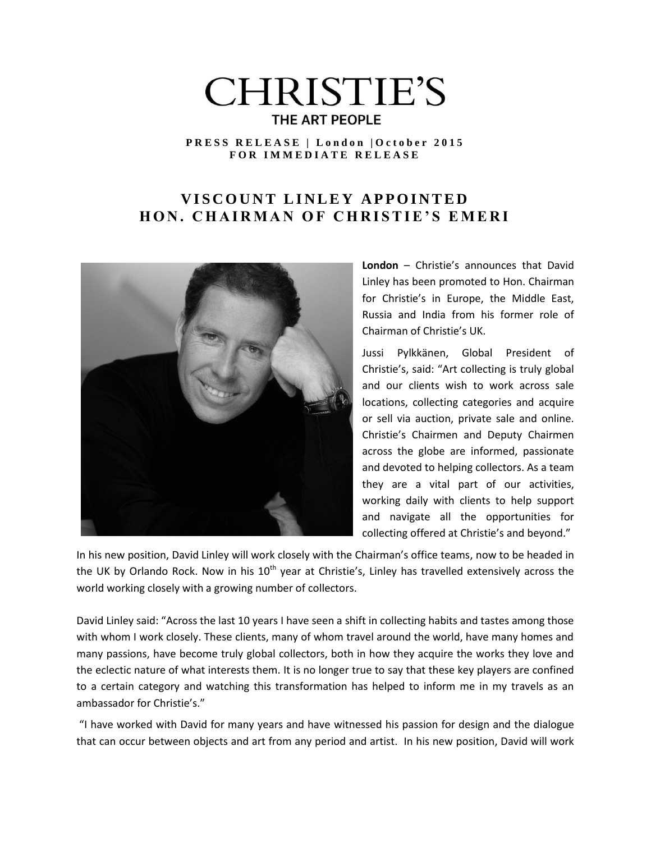# **CHRISTIE'S** THE ART PEOPLE

### **P R E S S R E L E A S E | L o n d o n | O c t o b e r 2 0 1 5 F O R I M M E D I A T E R E L E A S E**

# **VISCOUNT LINLEY APPOINTED HON. CHAIRMAN OF CHRISTIE'S EMERI**



**London** – Christie's announces that David Linley has been promoted to Hon. Chairman for Christie's in Europe, the Middle East, Russia and India from his former role of Chairman of Christie's UK.

Jussi Pylkkänen, Global President of Christie's, said: "Art collecting is truly global and our clients wish to work across sale locations, collecting categories and acquire or sell via auction, private sale and online. Christie's Chairmen and Deputy Chairmen across the globe are informed, passionate and devoted to helping collectors. As a team they are a vital part of our activities, working daily with clients to help support and navigate all the opportunities for collecting offered at Christie's and beyond."

In his new position, David Linley will work closely with the Chairman's office teams, now to be headed in the UK by Orlando Rock. Now in his  $10<sup>th</sup>$  year at Christie's, Linley has travelled extensively across the world working closely with a growing number of collectors.

David Linley said: "Across the last 10 years I have seen a shift in collecting habits and tastes among those with whom I work closely. These clients, many of whom travel around the world, have many homes and many passions, have become truly global collectors, both in how they acquire the works they love and the eclectic nature of what interests them. It is no longer true to say that these key players are confined to a certain category and watching this transformation has helped to inform me in my travels as an ambassador for Christie's."

"I have worked with David for many years and have witnessed his passion for design and the dialogue that can occur between objects and art from any period and artist. In his new position, David will work